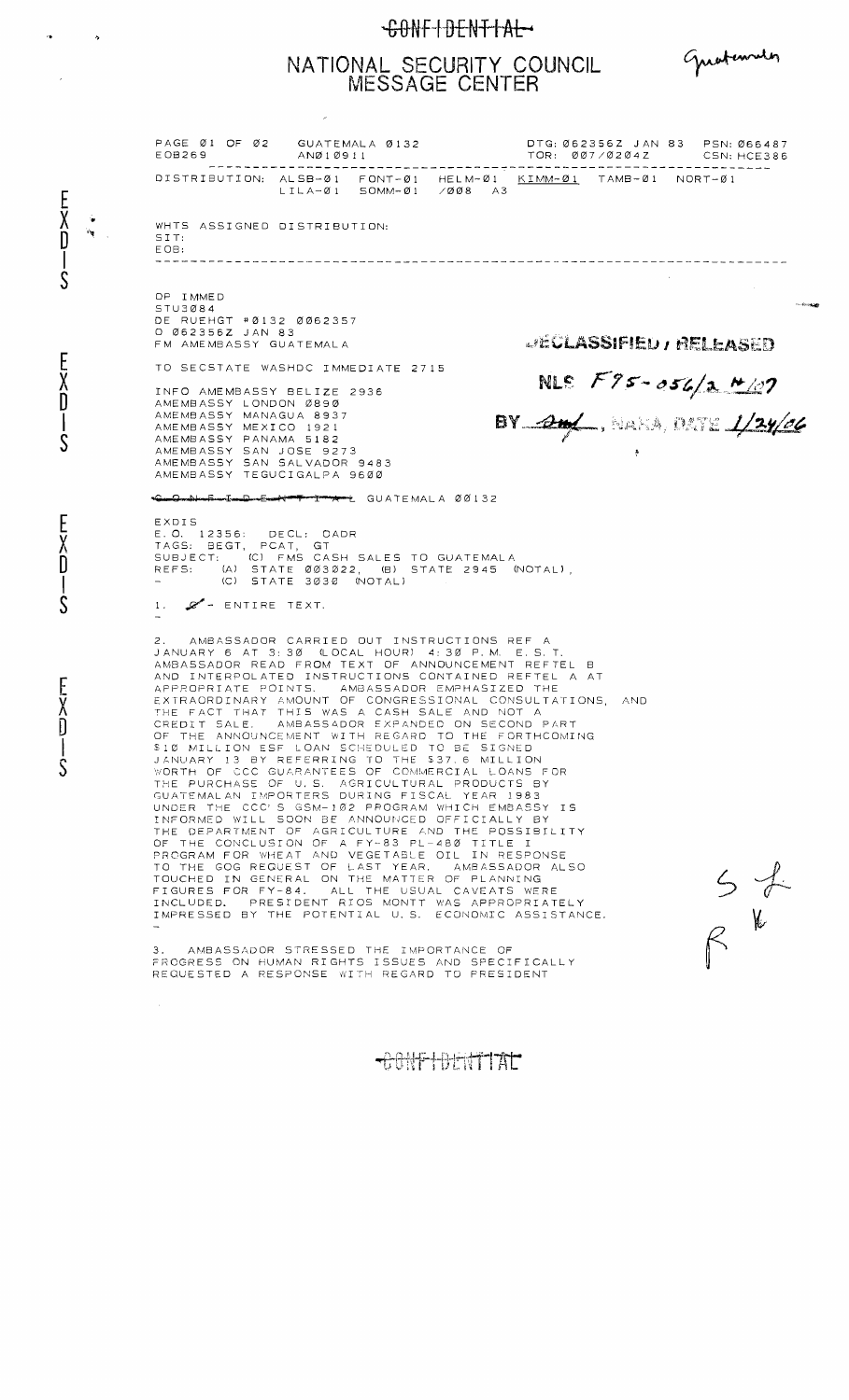## CONFIDENTIAL

## NATIONAL SECURITY COUNCIL<br>MESSAGE CENTER

 $\bar{\lambda}$ 

 $\frac{1}{2}$ 

 $\hat{\mathcal{A}}$ 

EXD<br>O<br>S

EXD<br>J<br>S

EXD-S

EXD-S

 $\sim 10^{-10}$ 

Greatements

| DISTRIBUTION: ALSB-01 FONT-01 HELM-01 KIMM-01 TAMB-01 NORT-01<br>$LILA-Ø1$ SOMM- $Ø1$ /ØØ8 A3<br>WHTS ASSIGNED DISTRIBUTION:<br>SIT:<br>E OB:<br>OP IMMED<br>STU3Ø84<br>DE RUEHGT #0132 0062357<br>O Ø62356Z JAN 83<br><b>JECLASSIFIED / RELEASED</b><br>FM AMEMBASSY GUATEMALA<br>TO SECSTATE WASHDC IMMEDIATE 2715<br>NLS $F95 - 056/2$ $M/07$<br>INFO AMEMBASSY BELIZE 2936<br>AMEMBASSY LONDON Ø89Ø<br>BY 24/, NAKA, DATE 1/24/06<br>AMEMBASSY MANAGUA 8937<br>AMEMBASSY MEXICO 1921<br>AMEMBASSY PANAMA 5182<br>AMEMBASSY SAN JOSE 9273<br>AMEMBASSY SAN SALVADOR 9483<br>AMEMBASSY TEGUCIGALPA 9600<br>CumQmanbuurEumIumQumEumeter Perry Perry Apple GUATEMALA 001132<br>EXDIS<br>E.O. 12356: DECL: OADR<br>TAGS: BEGT, PCAT, GT<br>SUBJECT: (C) FMS CASH SALES TO GUATEMALA<br>REFS: (A) STATE 003022, (B) STATE 2945 (NOTAL),<br>(C) STATE 3030 (NOTAL)<br><b>Barbara</b><br>1. $\mathscr{L}$ = ENTIRE TEXT.<br>2. AMBASSADOR CARRIED OUT INSTRUCTIONS REF A<br>JANUARY 6 AT 3:30 (LOCAL HOUR) 4:30 P.M. E.S.T.<br>AMBASSADOR READ FROM TEXT OF ANNOUNCEMENT REFTEL B<br>AND INTERPOLATED INSTRUCTIONS CONTAINED REFTEL A AT<br>APPROPRIATE POINTS. AMBASSADOR EMPHASIZED THE<br>EXTRAORDINARY AMOUNT OF CONGRESSIONAL CONSULTATIONS. AND<br>THE FACT THAT THIS WAS A CASH SALE AND NOT A<br>CREDIT SALE. AMBASSADOR EXPANDED ON SECOND PART<br>OF THE ANNOUNCEMENT WITH REGARD TO THE FORTHCOMING<br>\$10 MILLION ESF LOAN SCHEDULED TO BE SIGNED<br>JANUARY 13 BY REFERRING TO THE \$37.6 MILLION<br>WORTH OF CCC GUARANTEES OF COMMERCIAL LOANS FOR<br>THE PURCHASE OF U.S. AGRICULTURAL PRODUCTS BY<br>GUATEMALAN IMPORTERS DURING FISCAL YEAR 1983<br>UNDER THE CCC'S GSM-102 PROGRAM WHICH EMBASSY IS<br>INFORMED WILL SOON BE ANNOUNCED OFFICIALLY BY<br>THE DEPARTMENT OF AGRICULTURE AND THE POSSIBILITY<br>OF THE CONCLUSION OF A FY-83 PL-480 TITLE I<br>PROGRAM FOR WHEAT AND VEGETABLE OIL IN RESPONSE<br>TO THE GOG REQUEST OF LAST YEAR. AMBASSADOR ALSO<br>TOUCHED IN GENERAL ON THE MATTER OF PLANNING<br>FIGURES FOR FY-84. ALL THE USUAL CAVEATS WERE<br>INCLUDED. PRESIDENT RIOS MONTT WAS APPROPRIATELY<br>IMPRESSED BY THE POTENTIAL U.S. ECONOMIC ASSISTANCE.<br>3. AMBASSADOR STRESSED THE IMPORTANCE OF<br>FROGRESS ON HUMAN RIGHTS ISSUES AND SPECIFICALLY<br>REQUESTED A RESPONSE WITH REGARD TO PRESIDENT<br>$\sim$ | EOB269 | PAGE Ø1 OF Ø2 GUATEMALA Ø132<br>ANØ10911 | DTG: Ø62356Z JAN 83 PSN: Ø66487<br>TOR: ØØ7/Ø2Ø4Z CSN: HCE386 |                                                                          |
|---------------------------------------------------------------------------------------------------------------------------------------------------------------------------------------------------------------------------------------------------------------------------------------------------------------------------------------------------------------------------------------------------------------------------------------------------------------------------------------------------------------------------------------------------------------------------------------------------------------------------------------------------------------------------------------------------------------------------------------------------------------------------------------------------------------------------------------------------------------------------------------------------------------------------------------------------------------------------------------------------------------------------------------------------------------------------------------------------------------------------------------------------------------------------------------------------------------------------------------------------------------------------------------------------------------------------------------------------------------------------------------------------------------------------------------------------------------------------------------------------------------------------------------------------------------------------------------------------------------------------------------------------------------------------------------------------------------------------------------------------------------------------------------------------------------------------------------------------------------------------------------------------------------------------------------------------------------------------------------------------------------------------------------------------------------------------------------------------------------------------------------------------------------------------------------------------------------------------------------------------------------------------------------------------------------------------------------------------------|--------|------------------------------------------|---------------------------------------------------------------|--------------------------------------------------------------------------|
|                                                                                                                                                                                                                                                                                                                                                                                                                                                                                                                                                                                                                                                                                                                                                                                                                                                                                                                                                                                                                                                                                                                                                                                                                                                                                                                                                                                                                                                                                                                                                                                                                                                                                                                                                                                                                                                                                                                                                                                                                                                                                                                                                                                                                                                                                                                                                         |        |                                          |                                                               |                                                                          |
|                                                                                                                                                                                                                                                                                                                                                                                                                                                                                                                                                                                                                                                                                                                                                                                                                                                                                                                                                                                                                                                                                                                                                                                                                                                                                                                                                                                                                                                                                                                                                                                                                                                                                                                                                                                                                                                                                                                                                                                                                                                                                                                                                                                                                                                                                                                                                         |        |                                          |                                                               |                                                                          |
|                                                                                                                                                                                                                                                                                                                                                                                                                                                                                                                                                                                                                                                                                                                                                                                                                                                                                                                                                                                                                                                                                                                                                                                                                                                                                                                                                                                                                                                                                                                                                                                                                                                                                                                                                                                                                                                                                                                                                                                                                                                                                                                                                                                                                                                                                                                                                         |        |                                          |                                                               |                                                                          |
|                                                                                                                                                                                                                                                                                                                                                                                                                                                                                                                                                                                                                                                                                                                                                                                                                                                                                                                                                                                                                                                                                                                                                                                                                                                                                                                                                                                                                                                                                                                                                                                                                                                                                                                                                                                                                                                                                                                                                                                                                                                                                                                                                                                                                                                                                                                                                         |        |                                          |                                                               |                                                                          |
|                                                                                                                                                                                                                                                                                                                                                                                                                                                                                                                                                                                                                                                                                                                                                                                                                                                                                                                                                                                                                                                                                                                                                                                                                                                                                                                                                                                                                                                                                                                                                                                                                                                                                                                                                                                                                                                                                                                                                                                                                                                                                                                                                                                                                                                                                                                                                         |        |                                          |                                                               |                                                                          |
|                                                                                                                                                                                                                                                                                                                                                                                                                                                                                                                                                                                                                                                                                                                                                                                                                                                                                                                                                                                                                                                                                                                                                                                                                                                                                                                                                                                                                                                                                                                                                                                                                                                                                                                                                                                                                                                                                                                                                                                                                                                                                                                                                                                                                                                                                                                                                         |        |                                          |                                                               |                                                                          |
|                                                                                                                                                                                                                                                                                                                                                                                                                                                                                                                                                                                                                                                                                                                                                                                                                                                                                                                                                                                                                                                                                                                                                                                                                                                                                                                                                                                                                                                                                                                                                                                                                                                                                                                                                                                                                                                                                                                                                                                                                                                                                                                                                                                                                                                                                                                                                         |        |                                          |                                                               |                                                                          |
|                                                                                                                                                                                                                                                                                                                                                                                                                                                                                                                                                                                                                                                                                                                                                                                                                                                                                                                                                                                                                                                                                                                                                                                                                                                                                                                                                                                                                                                                                                                                                                                                                                                                                                                                                                                                                                                                                                                                                                                                                                                                                                                                                                                                                                                                                                                                                         |        |                                          |                                                               |                                                                          |
|                                                                                                                                                                                                                                                                                                                                                                                                                                                                                                                                                                                                                                                                                                                                                                                                                                                                                                                                                                                                                                                                                                                                                                                                                                                                                                                                                                                                                                                                                                                                                                                                                                                                                                                                                                                                                                                                                                                                                                                                                                                                                                                                                                                                                                                                                                                                                         |        |                                          |                                                               | $\begin{array}{c} 5 \not\uparrow \\ \uparrow \\ \uparrow \\ \end{array}$ |
|                                                                                                                                                                                                                                                                                                                                                                                                                                                                                                                                                                                                                                                                                                                                                                                                                                                                                                                                                                                                                                                                                                                                                                                                                                                                                                                                                                                                                                                                                                                                                                                                                                                                                                                                                                                                                                                                                                                                                                                                                                                                                                                                                                                                                                                                                                                                                         |        |                                          |                                                               |                                                                          |
|                                                                                                                                                                                                                                                                                                                                                                                                                                                                                                                                                                                                                                                                                                                                                                                                                                                                                                                                                                                                                                                                                                                                                                                                                                                                                                                                                                                                                                                                                                                                                                                                                                                                                                                                                                                                                                                                                                                                                                                                                                                                                                                                                                                                                                                                                                                                                         |        |                                          |                                                               |                                                                          |
|                                                                                                                                                                                                                                                                                                                                                                                                                                                                                                                                                                                                                                                                                                                                                                                                                                                                                                                                                                                                                                                                                                                                                                                                                                                                                                                                                                                                                                                                                                                                                                                                                                                                                                                                                                                                                                                                                                                                                                                                                                                                                                                                                                                                                                                                                                                                                         |        |                                          |                                                               |                                                                          |